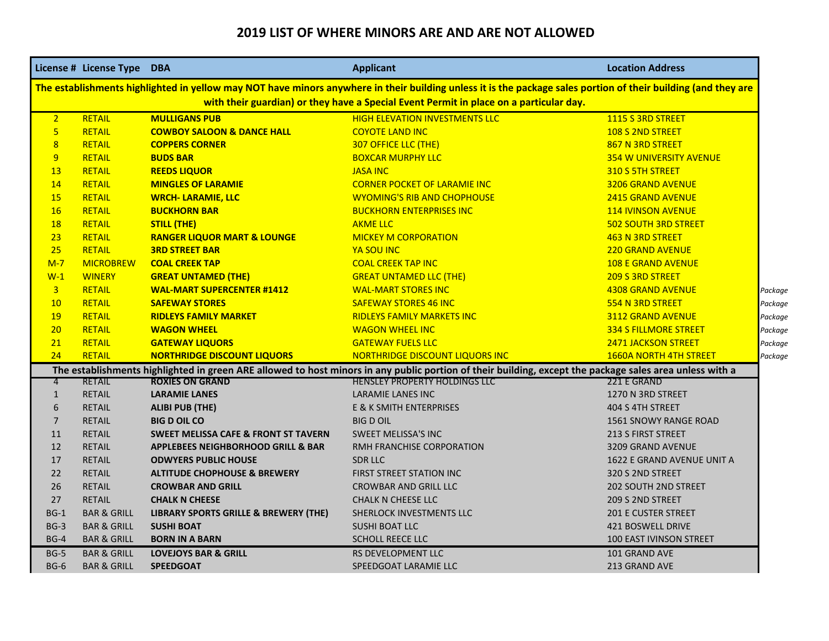## **2019 LIST OF WHERE MINORS ARE AND ARE NOT ALLOWED**

|                                                                                                                                                                | License # License Type DBA |                                                 | <b>Applicant</b>                      | <b>Location Address</b>                  |  |  |  |  |
|----------------------------------------------------------------------------------------------------------------------------------------------------------------|----------------------------|-------------------------------------------------|---------------------------------------|------------------------------------------|--|--|--|--|
| The establishments highlighted in yellow may NOT have minors anywhere in their building unless it is the package sales portion of their building (and they are |                            |                                                 |                                       |                                          |  |  |  |  |
| with their guardian) or they have a Special Event Permit in place on a particular day.                                                                         |                            |                                                 |                                       |                                          |  |  |  |  |
| 2 <sup>1</sup>                                                                                                                                                 | RETAIL                     | <b>MULLIGANS PUB</b>                            | <b>HIGH ELEVATION INVESTMENTS LLC</b> | 1115 S 3RD STREET                        |  |  |  |  |
| 5 <sup>1</sup>                                                                                                                                                 | RETAIL                     | <b>COWBOY SALOON &amp; DANCE HALL</b>           | <b>COYOTE LAND INC</b>                | 108 S 2ND STREET                         |  |  |  |  |
| 8                                                                                                                                                              | RETAIL                     | <b>COPPERS CORNER</b>                           | <b>307 OFFICE LLC (THE)</b>           | 867 N 3RD STREET                         |  |  |  |  |
| 9                                                                                                                                                              | <b>RETAIL</b>              | <b>BUDS BAR</b>                                 | <b>BOXCAR MURPHY LLC</b>              | <b>354 W UNIVERSITY AVENUE</b>           |  |  |  |  |
| 13                                                                                                                                                             | <b>RETAIL</b>              | <b>REEDS LIQUOR</b>                             | <b>JASA INC</b>                       | 310 S 5TH STREET                         |  |  |  |  |
| 14                                                                                                                                                             | <b>RETAIL</b>              | <b>MINGLES OF LARAMIE</b>                       | <b>CORNER POCKET OF LARAMIE INC</b>   | <b>3206 GRAND AVENUE</b>                 |  |  |  |  |
| <b>15</b>                                                                                                                                                      | <b>RETAIL</b>              | <b>WRCH- LARAMIE, LLC</b>                       | <b>WYOMING'S RIB AND CHOPHOUSE</b>    | <b>2415 GRAND AVENUE</b>                 |  |  |  |  |
| 16                                                                                                                                                             | <b>RETAIL</b>              | <b>BUCKHORN BAR</b>                             | <b>BUCKHORN ENTERPRISES INC</b>       | <b>114 IVINSON AVENUE</b>                |  |  |  |  |
| <b>18</b>                                                                                                                                                      | <b>RETAIL</b>              | <b>STILL (THE)</b>                              | <b>AKME LLC</b>                       | <b>502 SOUTH 3RD STREET</b>              |  |  |  |  |
| 23                                                                                                                                                             | <b>RETAIL</b>              | <b>RANGER LIQUOR MART &amp; LOUNGE</b>          | <b>MICKEY M CORPORATION</b>           | 463 N 3RD STREET                         |  |  |  |  |
| 25                                                                                                                                                             | <b>RETAIL</b>              | <b>3RD STREET BAR</b>                           | <b>YA SOU INC</b>                     | <b>220 GRAND AVENUE</b>                  |  |  |  |  |
| $M-7$                                                                                                                                                          | <b>MICROBREW</b>           | <b>COAL CREEK TAP</b>                           | <b>COAL CREEK TAP INC</b>             | <b>108 E GRAND AVENUE</b>                |  |  |  |  |
| $W-1$                                                                                                                                                          | <b>WINERY</b>              | <b>GREAT UNTAMED (THE)</b>                      | <b>GREAT UNTAMED LLC (THE)</b>        | 209 S 3RD STREET                         |  |  |  |  |
| $\overline{3}$                                                                                                                                                 | <b>RETAIL</b>              | <b>WAL-MART SUPERCENTER #1412</b>               | <b>WAL-MART STORES INC</b>            | <b>4308 GRAND AVENUE</b><br>Package      |  |  |  |  |
| 10                                                                                                                                                             | <b>RETAIL</b>              | <b>SAFEWAY STORES</b>                           | <b>SAFEWAY STORES 46 INC</b>          | 554 N 3RD STREET<br>Package              |  |  |  |  |
| <b>19</b>                                                                                                                                                      | <b>RETAIL</b>              | <b>RIDLEYS FAMILY MARKET</b>                    | <b>RIDLEYS FAMILY MARKETS INC</b>     | <b>3112 GRAND AVENUE</b><br>Package      |  |  |  |  |
| 20                                                                                                                                                             | <b>RETAIL</b>              | <b>WAGON WHEEL</b>                              | <b>WAGON WHEEL INC</b>                | <b>334 S FILLMORE STREET</b><br>Package  |  |  |  |  |
| 21                                                                                                                                                             | <b>RETAIL</b>              | <b>GATEWAY LIQUORS</b>                          | <b>GATEWAY FUELS LLC</b>              | <b>2471 JACKSON STREET</b><br>Package    |  |  |  |  |
| 24                                                                                                                                                             | <b>RETAIL</b>              | <b>NORTHRIDGE DISCOUNT LIQUORS</b>              | NORTHRIDGE DISCOUNT LIQUORS INC       | <b>1660A NORTH 4TH STREET</b><br>Package |  |  |  |  |
| The establishments highlighted in green ARE allowed to host minors in any public portion of their building, except the package sales area unless with a        |                            |                                                 |                                       |                                          |  |  |  |  |
| 4                                                                                                                                                              | <b>RETAIL</b>              | <b>ROXIES ON GRAND</b>                          | HENSLEY PROPERTY HOLDINGS LLC         | 221 E GRAND                              |  |  |  |  |
| $\mathbf{1}$                                                                                                                                                   | <b>RETAIL</b>              | <b>LARAMIE LANES</b>                            | <b>LARAMIE LANES INC</b>              | 1270 N 3RD STREET                        |  |  |  |  |
| 6                                                                                                                                                              | <b>RETAIL</b>              | <b>ALIBI PUB (THE)</b>                          | E & K SMITH ENTERPRISES               | 404 S 4TH STREET                         |  |  |  |  |
| $\overline{7}$                                                                                                                                                 | <b>RETAIL</b>              | <b>BIG D OIL CO</b>                             | <b>BIG D OIL</b>                      | 1561 SNOWY RANGE ROAD                    |  |  |  |  |
| 11                                                                                                                                                             | <b>RETAIL</b>              | <b>SWEET MELISSA CAFE &amp; FRONT ST TAVERN</b> | <b>SWEET MELISSA'S INC</b>            | <b>213 S FIRST STREET</b>                |  |  |  |  |
| 12                                                                                                                                                             | <b>RETAIL</b>              | <b>APPLEBEES NEIGHBORHOOD GRILL &amp; BAR</b>   | RMH FRANCHISE CORPORATION             | 3209 GRAND AVENUE                        |  |  |  |  |
| 17                                                                                                                                                             | <b>RETAIL</b>              | <b>ODWYERS PUBLIC HOUSE</b>                     | <b>SDR LLC</b>                        | 1622 E GRAND AVENUE UNIT A               |  |  |  |  |
| 22                                                                                                                                                             | <b>RETAIL</b>              | <b>ALTITUDE CHOPHOUSE &amp; BREWERY</b>         | FIRST STREET STATION INC              | 320 S 2ND STREET                         |  |  |  |  |
| 26                                                                                                                                                             | <b>RETAIL</b>              | <b>CROWBAR AND GRILL</b>                        | <b>CROWBAR AND GRILL LLC</b>          | <b>202 SOUTH 2ND STREET</b>              |  |  |  |  |
| 27                                                                                                                                                             | <b>RETAIL</b>              | <b>CHALK N CHEESE</b>                           | <b>CHALK N CHEESE LLC</b>             | 209 S 2ND STREET                         |  |  |  |  |
| $BG-1$                                                                                                                                                         | <b>BAR &amp; GRILL</b>     | LIBRARY SPORTS GRILLE & BREWERY (THE)           | SHERLOCK INVESTMENTS LLC              | <b>201 E CUSTER STREET</b>               |  |  |  |  |
| $BG-3$                                                                                                                                                         | <b>BAR &amp; GRILL</b>     | <b>SUSHI BOAT</b>                               | <b>SUSHI BOAT LLC</b>                 | <b>421 BOSWELL DRIVE</b>                 |  |  |  |  |
| $BG-4$                                                                                                                                                         | <b>BAR &amp; GRILL</b>     | <b>BORN IN A BARN</b>                           | <b>SCHOLL REECE LLC</b>               | <b>100 EAST IVINSON STREET</b>           |  |  |  |  |
| $BG-5$                                                                                                                                                         | <b>BAR &amp; GRILL</b>     | <b>LOVEJOYS BAR &amp; GRILL</b>                 | RS DEVELOPMENT LLC                    | 101 GRAND AVE                            |  |  |  |  |
| $BG-6$                                                                                                                                                         | <b>BAR &amp; GRILL</b>     | <b>SPEEDGOAT</b>                                | SPEEDGOAT LARAMIE LLC                 | 213 GRAND AVE                            |  |  |  |  |